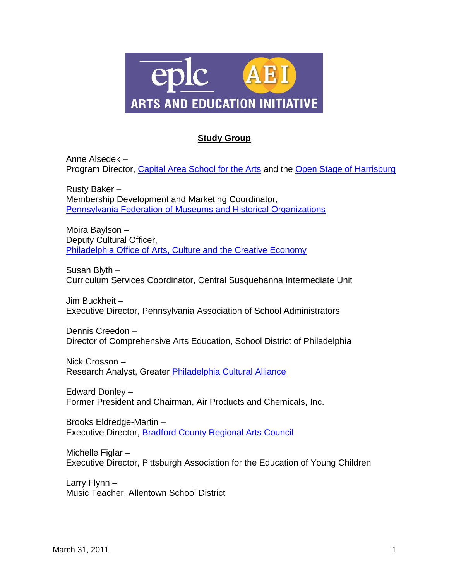

## **Study Group**

Anne Alsedek – Program Director, [Capital Area School for the Arts](http://www.casa-arts.org/) and the [Open Stage of Harrisburg](http://www.openstagehbg.com/)

Rusty Baker – Membership Development and Marketing Coordinator, [Pennsylvania Federation of Museums and Historical Organizations](http://www.pamuseums.org/site/index.asp)

Moira Baylson – Deputy Cultural Officer, Philadelphia [Office of Arts, Culture and the Creative Economy](http://www.phila.gov/OACCE/)

Susan Blyth – Curriculum Services Coordinator, Central Susquehanna Intermediate Unit

Jim Buckheit – Executive Director, Pennsylvania Association of School Administrators

Dennis Creedon – Director of Comprehensive Arts Education, School District of Philadelphia

Nick Crosson – Research Analyst, Greater [Philadelphia Cultural Alliance](http://www.philaculture.org/)

Edward Donley – Former President and Chairman, Air Products and Chemicals, Inc.

Brooks Eldredge-Martin – Executive Director, [Bradford County Regional Arts Council](http://www.bcrac.org/)

Michelle Figlar – Executive Director, Pittsburgh Association for the Education of Young Children

Larry Flynn – Music Teacher, Allentown School District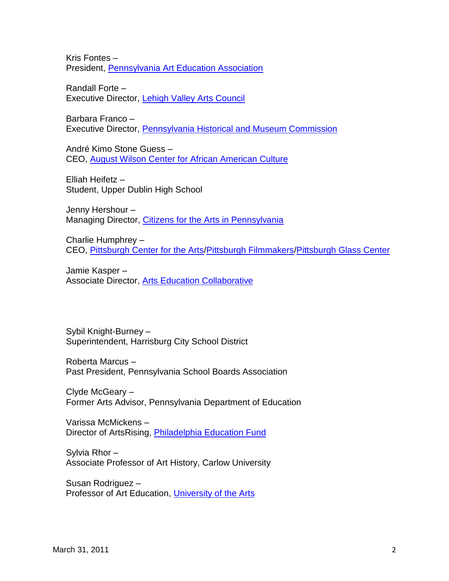Kris Fontes – President, [Pennsylvania Art Education Association](http://www.paea.org/)

Randall Forte – Executive Director, [Lehigh Valley Arts Council](http://www.lvartscouncil.org/)

Barbara Franco – Executive Director, [Pennsylvania Historical and Museum Commission](http://www.portal.state.pa.us/portal/server.pt?open=512&mode=2&objID=1426)

André Kimo Stone Guess – CEO, [August Wilson Center for African American Culture](http://www.augustwilsoncenter.org/)

Elliah Heifetz – Student, Upper Dublin High School

Jenny Hershour – Managing Director, [Citizens for the Arts in Pennsylvania](http://www.citizensfortheartsinpa.org/)

Charlie Humphrey – CEO, [Pittsburgh Center for the Arts](http://www.pittsburgharts.org/)[/Pittsburgh Filmmakers](http://www.pghfilmmakers.org/)[/Pittsburgh Glass Center](http://www.pittsburghglasscenter.org/)

Jamie Kasper – Associate Director, [Arts Education Collaborative](http://www.artsedcollaborative.org/)

Sybil Knight-Burney – Superintendent, Harrisburg City School District

Roberta Marcus – Past President, Pennsylvania School Boards Association

Clyde McGeary – Former Arts Advisor, Pennsylvania Department of Education

Varissa McMickens – Director of ArtsRising, [Philadelphia Education Fund](http://www.philaedfund.org/programs/advancing-education/arts-rising)

Sylvia Rhor – Associate Professor of Art History, Carlow University

Susan Rodriguez – Professor of Art Education, [University of the Arts](http://www.uarts.edu/)